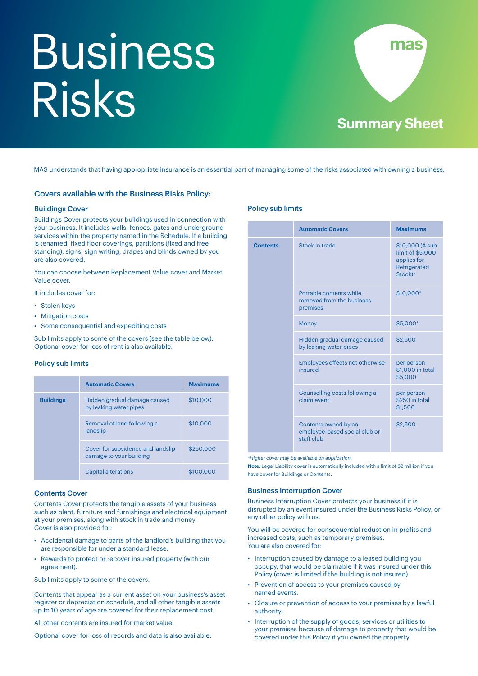# Business Risks



MAS understands that having appropriate insurance is an essential part of managing some of the risks associated with owning a business.

# Covers available with the Business Risks Policy:

#### Buildings Cover

Buildings Cover protects your buildings used in connection with your business. It includes walls, fences, gates and underground services within the property named in the Schedule. If a building is tenanted, fixed floor coverings, partitions (fixed and free standing), signs, sign writing, drapes and blinds owned by you are also covered.

You can choose between Replacement Value cover and Market Value cover.

It includes cover for:

- Stolen keys
- Mitigation costs
- Some consequential and expediting costs

Sub limits apply to some of the covers (see the table below). Optional cover for loss of rent is also available.

# Policy sub limits

|                  | <b>Automatic Covers</b>                                      | <b>Maximums</b> |
|------------------|--------------------------------------------------------------|-----------------|
| <b>Buildings</b> | Hidden gradual damage caused<br>by leaking water pipes       | \$10,000        |
|                  | Removal of land following a<br>landslip                      | \$10,000        |
|                  | Cover for subsidence and landslip<br>damage to your building | \$250,000       |
|                  | <b>Capital alterations</b>                                   | \$100,000       |

#### Contents Cover

Contents Cover protects the tangible assets of your business such as plant, furniture and furnishings and electrical equipment at your premises, along with stock in trade and money. Cover is also provided for:

- Accidental damage to parts of the landlord's building that you are responsible for under a standard lease.
- Rewards to protect or recover insured property (with our agreement).

Sub limits apply to some of the covers.

Contents that appear as a current asset on your business's asset register or depreciation schedule, and all other tangible assets up to 10 years of age are covered for their replacement cost.

All other contents are insured for market value.

Optional cover for loss of records and data is also available.

## Policy sub limits

|                 | <b>Automatic Covers</b>                                             | <b>Maximums</b>                                                               |
|-----------------|---------------------------------------------------------------------|-------------------------------------------------------------------------------|
| <b>Contents</b> | Stock in trade                                                      | \$10,000 (A sub<br>limit of \$5,000<br>applies for<br>Refrigerated<br>Stock)* |
|                 | Portable contents while<br>removed from the business<br>premises    | \$10,000*                                                                     |
|                 | <b>Money</b>                                                        | \$5,000*                                                                      |
|                 | Hidden gradual damage caused<br>by leaking water pipes              | \$2,500                                                                       |
|                 | Employees effects not otherwise<br>insured                          | per person<br>\$1,000 in total<br>\$5,000                                     |
|                 | Counselling costs following a<br>claim event                        | per person<br>\$250 in total<br>\$1,500                                       |
|                 | Contents owned by an<br>employee-based social club or<br>staff club | \$2,500                                                                       |

*\*Higher cover may be available on application.* 

**Note:** Legal Liability cover is automatically included with a limit of \$2 million if you have cover for Buildings or Contents.

#### Business Interruption Cover

Business Interruption Cover protects your business if it is disrupted by an event insured under the Business Risks Policy, or any other policy with us.

You will be covered for consequential reduction in profits and increased costs, such as temporary premises. You are also covered for:

- Interruption caused by damage to a leased building you occupy, that would be claimable if it was insured under this Policy (cover is limited if the building is not insured).
- Prevention of access to your premises caused by named events.
- Closure or prevention of access to your premises by a lawful authority.
- Interruption of the supply of goods, services or utilities to your premises because of damage to property that would be covered under this Policy if you owned the property.